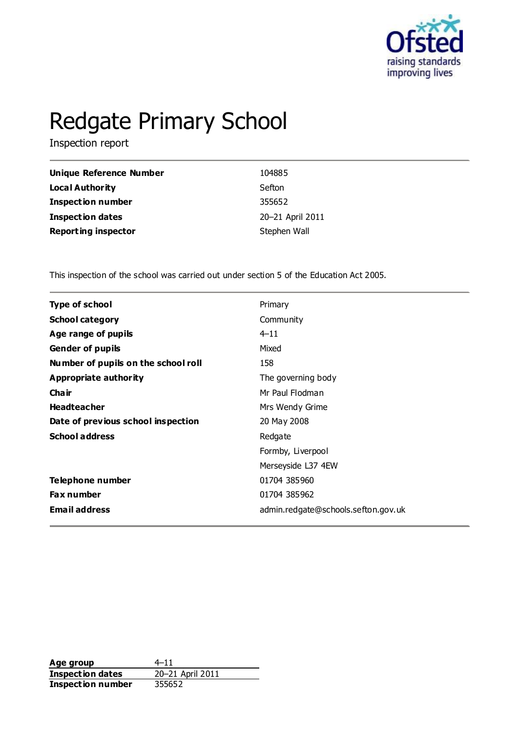

# Redgate Primary School

Inspection report

| Unique Reference Number    | 104885           |
|----------------------------|------------------|
| Local Authority            | Sefton           |
| <b>Inspection number</b>   | 355652           |
| <b>Inspection dates</b>    | 20-21 April 2011 |
| <b>Reporting inspector</b> | Stephen Wall     |

This inspection of the school was carried out under section 5 of the Education Act 2005.

| <b>Type of school</b>               | Primary                             |
|-------------------------------------|-------------------------------------|
| <b>School category</b>              | Community                           |
| Age range of pupils                 | $4 - 11$                            |
| <b>Gender of pupils</b>             | Mixed                               |
| Number of pupils on the school roll | 158                                 |
| Appropriate authority               | The governing body                  |
| Cha ir                              | Mr Paul Flodman                     |
| <b>Headteacher</b>                  | Mrs Wendy Grime                     |
| Date of previous school inspection  | 20 May 2008                         |
| <b>School address</b>               | Redgate                             |
|                                     | Formby, Liverpool                   |
|                                     | Merseyside L37 4EW                  |
| Telephone number                    | 01704 385960                        |
| Fax number                          | 01704 385962                        |
| <b>Email address</b>                | admin.redgate@schools.sefton.gov.uk |
|                                     |                                     |

**Age group**  $4-11$ <br> **Inspection dates**  $20-21$  April 2011 **Inspection dates Inspection number** 355652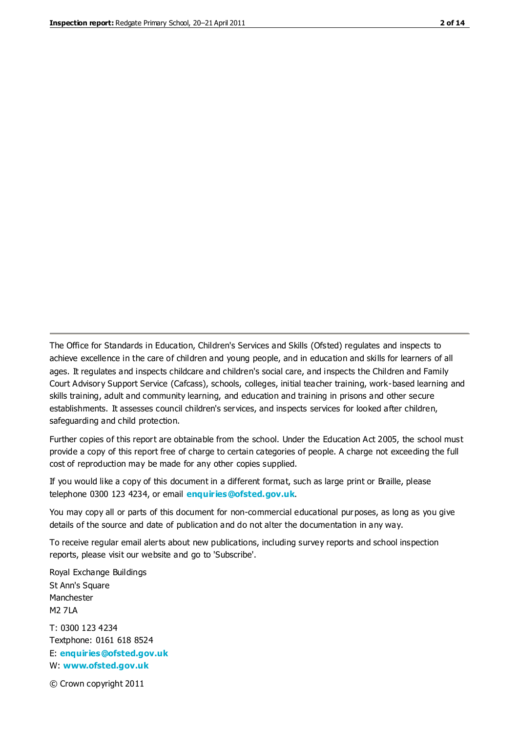The Office for Standards in Education, Children's Services and Skills (Ofsted) regulates and inspects to achieve excellence in the care of children and young people, and in education and skills for learners of all ages. It regulates and inspects childcare and children's social care, and inspects the Children and Family Court Advisory Support Service (Cafcass), schools, colleges, initial teacher training, work-based learning and skills training, adult and community learning, and education and training in prisons and other secure establishments. It assesses council children's services, and inspects services for looked after children, safeguarding and child protection.

Further copies of this report are obtainable from the school. Under the Education Act 2005, the school must provide a copy of this report free of charge to certain categories of people. A charge not exceeding the full cost of reproduction may be made for any other copies supplied.

If you would like a copy of this document in a different format, such as large print or Braille, please telephone 0300 123 4234, or email **[enquiries@ofsted.gov.uk](mailto:enquiries@ofsted.gov.uk)**.

You may copy all or parts of this document for non-commercial educational purposes, as long as you give details of the source and date of publication and do not alter the documentation in any way.

To receive regular email alerts about new publications, including survey reports and school inspection reports, please visit our website and go to 'Subscribe'.

Royal Exchange Buildings St Ann's Square Manchester M2 7LA T: 0300 123 4234 Textphone: 0161 618 8524 E: **[enquiries@ofsted.gov.uk](mailto:enquiries@ofsted.gov.uk)**

W: **[www.ofsted.gov.uk](http://www.ofsted.gov.uk/)**

© Crown copyright 2011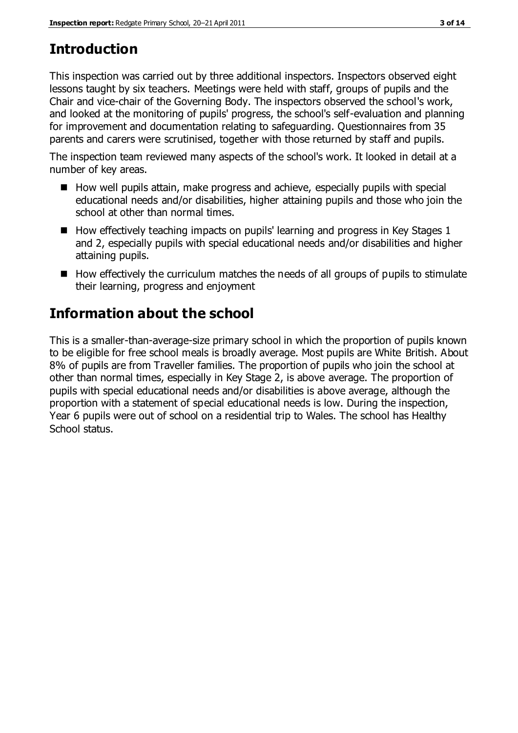# **Introduction**

This inspection was carried out by three additional inspectors. Inspectors observed eight lessons taught by six teachers. Meetings were held with staff, groups of pupils and the Chair and vice-chair of the Governing Body. The inspectors observed the school's work, and looked at the monitoring of pupils' progress, the school's self-evaluation and planning for improvement and documentation relating to safeguarding. Questionnaires from 35 parents and carers were scrutinised, together with those returned by staff and pupils.

The inspection team reviewed many aspects of the school's work. It looked in detail at a number of key areas.

- $\blacksquare$  How well pupils attain, make progress and achieve, especially pupils with special educational needs and/or disabilities, higher attaining pupils and those who join the school at other than normal times.
- $\blacksquare$  How effectively teaching impacts on pupils' learning and progress in Key Stages 1 and 2, especially pupils with special educational needs and/or disabilities and higher attaining pupils.
- $\blacksquare$  How effectively the curriculum matches the needs of all groups of pupils to stimulate their learning, progress and enjoyment

# **Information about the school**

This is a smaller-than-average-size primary school in which the proportion of pupils known to be eligible for free school meals is broadly average. Most pupils are White British. About 8% of pupils are from Traveller families. The proportion of pupils who join the school at other than normal times, especially in Key Stage 2, is above average. The proportion of pupils with special educational needs and/or disabilities is above average, although the proportion with a statement of special educational needs is low. During the inspection, Year 6 pupils were out of school on a residential trip to Wales. The school has Healthy School status.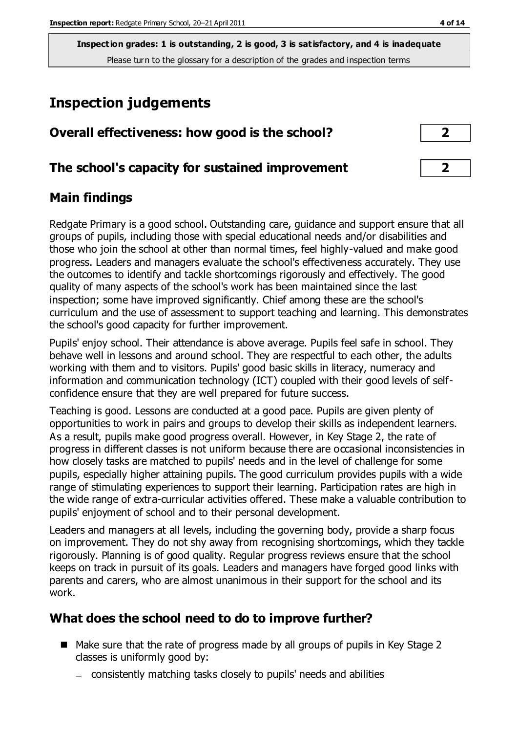# **Inspection judgements**

| Overall effectiveness: how good is the school?  |  |
|-------------------------------------------------|--|
| The school's capacity for sustained improvement |  |

## **Main findings**

Redgate Primary is a good school. Outstanding care, guidance and support ensure that all groups of pupils, including those with special educational needs and/or disabilities and those who join the school at other than normal times, feel highly-valued and make good progress. Leaders and managers evaluate the school's effectiveness accurately. They use the outcomes to identify and tackle shortcomings rigorously and effectively. The good quality of many aspects of the school's work has been maintained since the last inspection; some have improved significantly. Chief among these are the school's curriculum and the use of assessment to support teaching and learning. This demonstrates the school's good capacity for further improvement.

Pupils' enjoy school. Their attendance is above average. Pupils feel safe in school. They behave well in lessons and around school. They are respectful to each other, the adults working with them and to visitors. Pupils' good basic skills in literacy, numeracy and information and communication technology (ICT) coupled with their good levels of selfconfidence ensure that they are well prepared for future success.

Teaching is good. Lessons are conducted at a good pace. Pupils are given plenty of opportunities to work in pairs and groups to develop their skills as independent learners. As a result, pupils make good progress overall. However, in Key Stage 2, the rate of progress in different classes is not uniform because there are occasional inconsistencies in how closely tasks are matched to pupils' needs and in the level of challenge for some pupils, especially higher attaining pupils. The good curriculum provides pupils with a wide range of stimulating experiences to support their learning. Participation rates are high in the wide range of extra-curricular activities offered. These make a valuable contribution to pupils' enjoyment of school and to their personal development.

Leaders and managers at all levels, including the governing body, provide a sharp focus on improvement. They do not shy away from recognising shortcomings, which they tackle rigorously. Planning is of good quality. Regular progress reviews ensure that the school keeps on track in pursuit of its goals. Leaders and managers have forged good links with parents and carers, who are almost unanimous in their support for the school and its work.

## **What does the school need to do to improve further?**

- Make sure that the rate of progress made by all groups of pupils in Key Stage 2 classes is uniformly good by:
	- consistently matching tasks closely to pupils' needs and abilities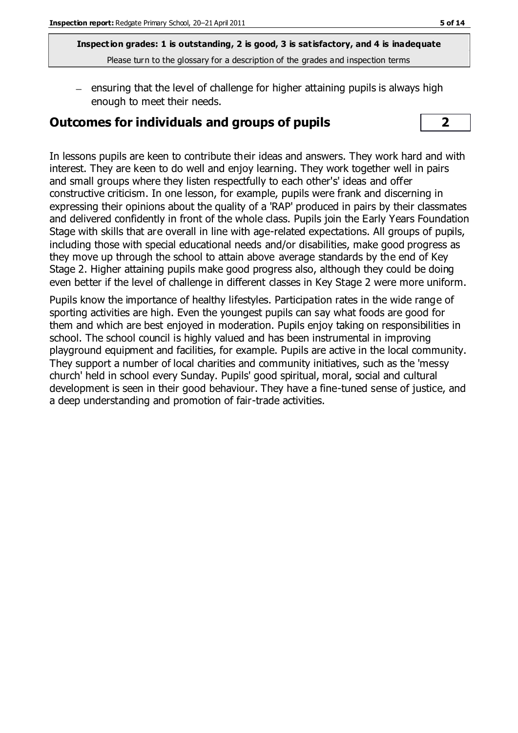$=$  ensuring that the level of challenge for higher attaining pupils is always high enough to meet their needs.

#### **Outcomes for individuals and groups of pupils 2**



In lessons pupils are keen to contribute their ideas and answers. They work hard and with interest. They are keen to do well and enjoy learning. They work together well in pairs and small groups where they listen respectfully to each other's' ideas and offer constructive criticism. In one lesson, for example, pupils were frank and discerning in expressing their opinions about the quality of a 'RAP' produced in pairs by their classmates and delivered confidently in front of the whole class. Pupils join the Early Years Foundation Stage with skills that are overall in line with age-related expectations. All groups of pupils, including those with special educational needs and/or disabilities, make good progress as they move up through the school to attain above average standards by the end of Key Stage 2. Higher attaining pupils make good progress also, although they could be doing even better if the level of challenge in different classes in Key Stage 2 were more uniform.

Pupils know the importance of healthy lifestyles. Participation rates in the wide range of sporting activities are high. Even the youngest pupils can say what foods are good for them and which are best enjoyed in moderation. Pupils enjoy taking on responsibilities in school. The school council is highly valued and has been instrumental in improving playground equipment and facilities, for example. Pupils are active in the local community. They support a number of local charities and community initiatives, such as the 'messy church' held in school every Sunday. Pupils' good spiritual, moral, social and cultural development is seen in their good behaviour. They have a fine-tuned sense of justice, and a deep understanding and promotion of fair-trade activities.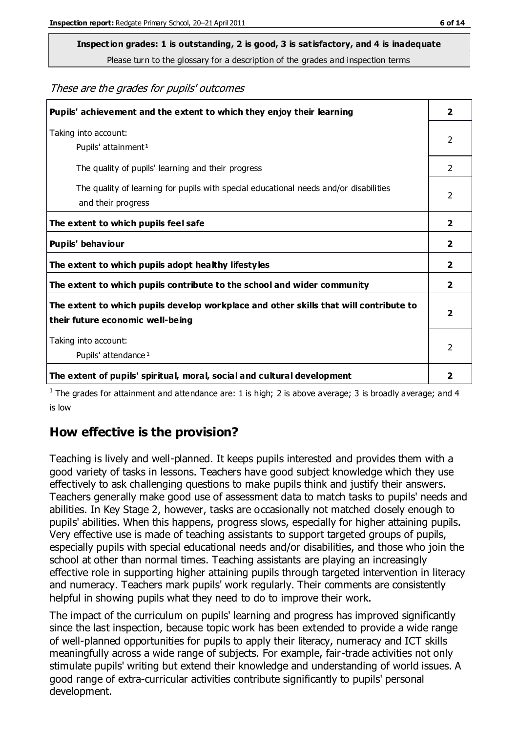# **Inspection grades: 1 is outstanding, 2 is good, 3 is satisfactory, and 4 is inadequate**

Please turn to the glossary for a description of the grades and inspection terms

These are the grades for pupils' outcomes

| Pupils' achievement and the extent to which they enjoy their learning                                                     | $\overline{2}$ |
|---------------------------------------------------------------------------------------------------------------------------|----------------|
| Taking into account:<br>Pupils' attainment <sup>1</sup>                                                                   | 2              |
| The quality of pupils' learning and their progress                                                                        | $\mathcal{P}$  |
| The quality of learning for pupils with special educational needs and/or disabilities<br>and their progress               | 2              |
| The extent to which pupils feel safe                                                                                      | $\mathbf{2}$   |
| Pupils' behaviour                                                                                                         | 2              |
| The extent to which pupils adopt healthy lifestyles                                                                       | 2              |
| The extent to which pupils contribute to the school and wider community                                                   | $\mathbf{2}$   |
| The extent to which pupils develop workplace and other skills that will contribute to<br>their future economic well-being |                |
| Taking into account:<br>Pupils' attendance <sup>1</sup>                                                                   | $\mathcal{P}$  |
| The extent of pupils' spiritual, moral, social and cultural development                                                   | 2              |

<sup>1</sup> The grades for attainment and attendance are: 1 is high; 2 is above average; 3 is broadly average; and 4 is low

## **How effective is the provision?**

Teaching is lively and well-planned. It keeps pupils interested and provides them with a good variety of tasks in lessons. Teachers have good subject knowledge which they use effectively to ask challenging questions to make pupils think and justify their answers. Teachers generally make good use of assessment data to match tasks to pupils' needs and abilities. In Key Stage 2, however, tasks are occasionally not matched closely enough to pupils' abilities. When this happens, progress slows, especially for higher attaining pupils. Very effective use is made of teaching assistants to support targeted groups of pupils, especially pupils with special educational needs and/or disabilities, and those who join the school at other than normal times. Teaching assistants are playing an increasingly effective role in supporting higher attaining pupils through targeted intervention in literacy and numeracy. Teachers mark pupils' work regularly. Their comments are consistently helpful in showing pupils what they need to do to improve their work.

The impact of the curriculum on pupils' learning and progress has improved significantly since the last inspection, because topic work has been extended to provide a wide range of well-planned opportunities for pupils to apply their literacy, numeracy and ICT skills meaningfully across a wide range of subjects. For example, fair-trade activities not only stimulate pupils' writing but extend their knowledge and understanding of world issues. A good range of extra-curricular activities contribute significantly to pupils' personal development.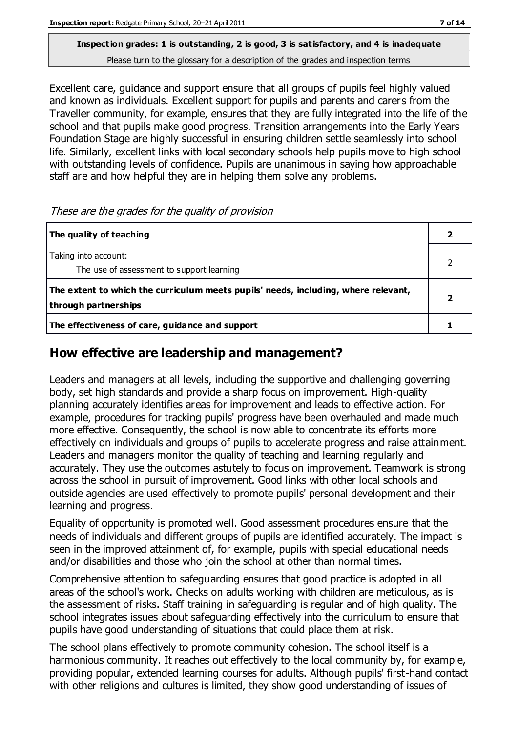Excellent care, guidance and support ensure that all groups of pupils feel highly valued and known as individuals. Excellent support for pupils and parents and carers from the Traveller community, for example, ensures that they are fully integrated into the life of the school and that pupils make good progress. Transition arrangements into the Early Years Foundation Stage are highly successful in ensuring children settle seamlessly into school life. Similarly, excellent links with local secondary schools help pupils move to high school with outstanding levels of confidence. Pupils are unanimous in saying how approachable staff are and how helpful they are in helping them solve any problems.

| The quality of teaching                                                                                    |  |
|------------------------------------------------------------------------------------------------------------|--|
| Taking into account:<br>The use of assessment to support learning                                          |  |
| The extent to which the curriculum meets pupils' needs, including, where relevant,<br>through partnerships |  |
| The effectiveness of care, guidance and support                                                            |  |

#### **How effective are leadership and management?**

Leaders and managers at all levels, including the supportive and challenging governing body, set high standards and provide a sharp focus on improvement. High-quality planning accurately identifies areas for improvement and leads to effective action. For example, procedures for tracking pupils' progress have been overhauled and made much more effective. Consequently, the school is now able to concentrate its efforts more effectively on individuals and groups of pupils to accelerate progress and raise attainment. Leaders and managers monitor the quality of teaching and learning regularly and accurately. They use the outcomes astutely to focus on improvement. Teamwork is strong across the school in pursuit of improvement. Good links with other local schools and outside agencies are used effectively to promote pupils' personal development and their learning and progress.

Equality of opportunity is promoted well. Good assessment procedures ensure that the needs of individuals and different groups of pupils are identified accurately. The impact is seen in the improved attainment of, for example, pupils with special educational needs and/or disabilities and those who join the school at other than normal times.

Comprehensive attention to safeguarding ensures that good practice is adopted in all areas of the school's work. Checks on adults working with children are meticulous, as is the assessment of risks. Staff training in safeguarding is regular and of high quality. The school integrates issues about safeguarding effectively into the curriculum to ensure that pupils have good understanding of situations that could place them at risk.

The school plans effectively to promote community cohesion. The school itself is a harmonious community. It reaches out effectively to the local community by, for example, providing popular, extended learning courses for adults. Although pupils' first-hand contact with other religions and cultures is limited, they show good understanding of issues of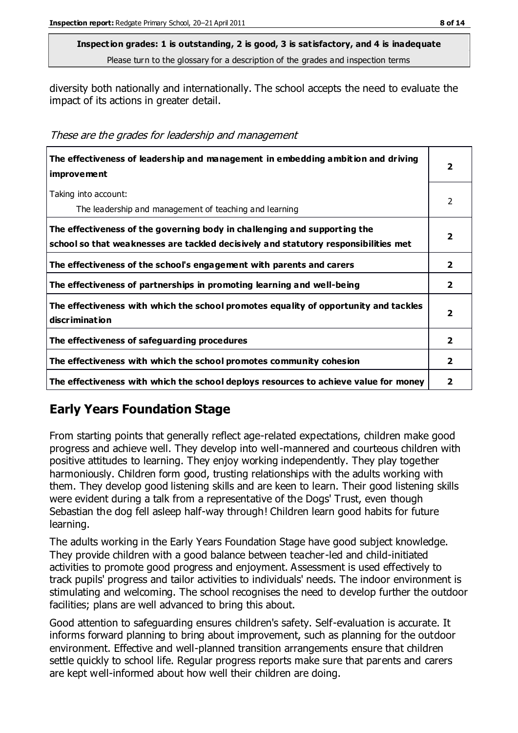diversity both nationally and internationally. The school accepts the need to evaluate the impact of its actions in greater detail.

These are the grades for leadership and management

| The effectiveness of leadership and management in embedding ambition and driving<br>improvement                                                                  | 2                       |
|------------------------------------------------------------------------------------------------------------------------------------------------------------------|-------------------------|
| Taking into account:<br>The leadership and management of teaching and learning                                                                                   | 2                       |
| The effectiveness of the governing body in challenging and supporting the<br>school so that weaknesses are tackled decisively and statutory responsibilities met | 2                       |
| The effectiveness of the school's engagement with parents and carers                                                                                             | $\overline{\mathbf{2}}$ |
| The effectiveness of partnerships in promoting learning and well-being                                                                                           | $\overline{2}$          |
| The effectiveness with which the school promotes equality of opportunity and tackles<br>discrimination                                                           | 2                       |
| The effectiveness of safeguarding procedures                                                                                                                     | $\mathbf{2}$            |
| The effectiveness with which the school promotes community cohesion                                                                                              | 2                       |
| The effectiveness with which the school deploys resources to achieve value for money                                                                             | 2                       |

## **Early Years Foundation Stage**

From starting points that generally reflect age-related expectations, children make good progress and achieve well. They develop into well-mannered and courteous children with positive attitudes to learning. They enjoy working independently. They play together harmoniously. Children form good, trusting relationships with the adults working with them. They develop good listening skills and are keen to learn. Their good listening skills were evident during a talk from a representative of the Dogs' Trust, even though Sebastian the dog fell asleep half-way through! Children learn good habits for future learning.

The adults working in the Early Years Foundation Stage have good subject knowledge. They provide children with a good balance between teacher-led and child-initiated activities to promote good progress and enjoyment. Assessment is used effectively to track pupils' progress and tailor activities to individuals' needs. The indoor environment is stimulating and welcoming. The school recognises the need to develop further the outdoor facilities; plans are well advanced to bring this about.

Good attention to safeguarding ensures children's safety. Self-evaluation is accurate. It informs forward planning to bring about improvement, such as planning for the outdoor environment. Effective and well-planned transition arrangements ensure that children settle quickly to school life. Regular progress reports make sure that parents and carers are kept well-informed about how well their children are doing.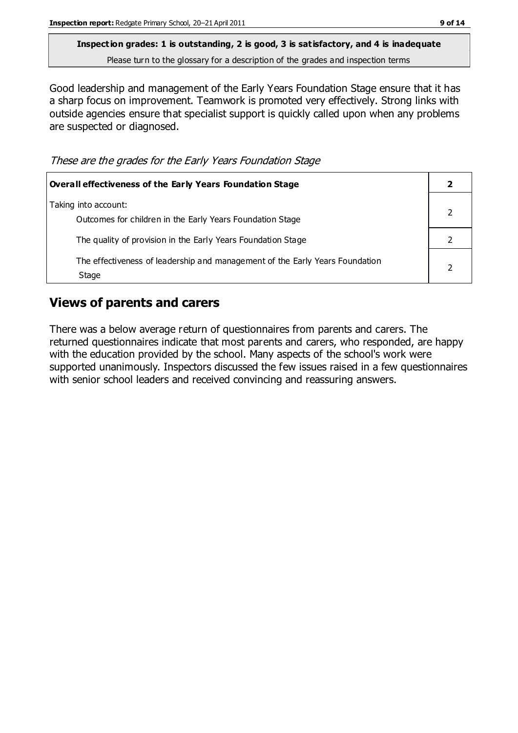Good leadership and management of the Early Years Foundation Stage ensure that it has a sharp focus on improvement. Teamwork is promoted very effectively. Strong links with outside agencies ensure that specialist support is quickly called upon when any problems are suspected or diagnosed.

These are the grades for the Early Years Foundation Stage

| <b>Overall effectiveness of the Early Years Foundation Stage</b>                      |  |
|---------------------------------------------------------------------------------------|--|
| Taking into account:<br>Outcomes for children in the Early Years Foundation Stage     |  |
| The quality of provision in the Early Years Foundation Stage                          |  |
| The effectiveness of leadership and management of the Early Years Foundation<br>Stage |  |

## **Views of parents and carers**

There was a below average return of questionnaires from parents and carers. The returned questionnaires indicate that most parents and carers, who responded, are happy with the education provided by the school. Many aspects of the school's work were supported unanimously. Inspectors discussed the few issues raised in a few questionnaires with senior school leaders and received convincing and reassuring answers.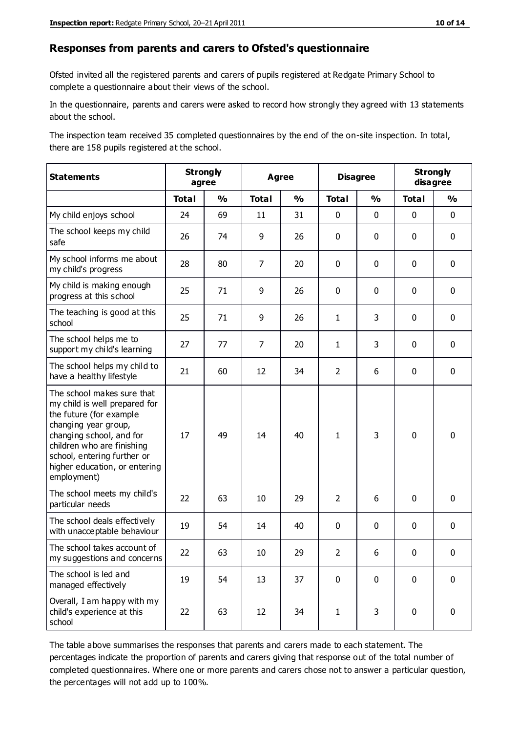#### **Responses from parents and carers to Ofsted's questionnaire**

Ofsted invited all the registered parents and carers of pupils registered at Redgate Primary School to complete a questionnaire about their views of the school.

In the questionnaire, parents and carers were asked to record how strongly they agreed with 13 statements about the school.

The inspection team received 35 completed questionnaires by the end of the on-site inspection. In total, there are 158 pupils registered at the school.

| <b>Statements</b>                                                                                                                                                                                                                                       | <b>Strongly</b><br>agree |               | <b>Agree</b>   |               | <b>Disagree</b> |               | <b>Strongly</b><br>disagree |               |
|---------------------------------------------------------------------------------------------------------------------------------------------------------------------------------------------------------------------------------------------------------|--------------------------|---------------|----------------|---------------|-----------------|---------------|-----------------------------|---------------|
|                                                                                                                                                                                                                                                         | <b>Total</b>             | $\frac{0}{0}$ | <b>Total</b>   | $\frac{0}{0}$ | <b>Total</b>    | $\frac{0}{0}$ | <b>Total</b>                | $\frac{0}{0}$ |
| My child enjoys school                                                                                                                                                                                                                                  | 24                       | 69            | 11             | 31            | 0               | $\mathbf 0$   | $\mathbf 0$                 | $\mathbf 0$   |
| The school keeps my child<br>safe                                                                                                                                                                                                                       | 26                       | 74            | 9              | 26            | 0               | 0             | $\mathbf 0$                 | $\mathbf 0$   |
| My school informs me about<br>my child's progress                                                                                                                                                                                                       | 28                       | 80            | $\overline{7}$ | 20            | 0               | $\mathbf 0$   | $\mathbf 0$                 | $\mathbf 0$   |
| My child is making enough<br>progress at this school                                                                                                                                                                                                    | 25                       | 71            | 9              | 26            | 0               | 0             | 0                           | $\mathbf 0$   |
| The teaching is good at this<br>school                                                                                                                                                                                                                  | 25                       | 71            | 9              | 26            | 1               | 3             | $\mathbf{0}$                | $\mathbf 0$   |
| The school helps me to<br>support my child's learning                                                                                                                                                                                                   | 27                       | 77            | $\overline{7}$ | 20            | 1               | 3             | 0                           | $\mathbf 0$   |
| The school helps my child to<br>have a healthy lifestyle                                                                                                                                                                                                | 21                       | 60            | 12             | 34            | $\overline{2}$  | 6             | $\mathbf 0$                 | $\mathbf 0$   |
| The school makes sure that<br>my child is well prepared for<br>the future (for example<br>changing year group,<br>changing school, and for<br>children who are finishing<br>school, entering further or<br>higher education, or entering<br>employment) | 17                       | 49            | 14             | 40            | $\mathbf{1}$    | 3             | $\mathbf 0$                 | $\mathbf 0$   |
| The school meets my child's<br>particular needs                                                                                                                                                                                                         | 22                       | 63            | 10             | 29            | $\overline{2}$  | 6             | $\mathbf 0$                 | $\mathbf 0$   |
| The school deals effectively<br>with unacceptable behaviour                                                                                                                                                                                             | 19                       | 54            | 14             | 40            | 0               | 0             | 0                           | $\pmb{0}$     |
| The school takes account of<br>my suggestions and concerns                                                                                                                                                                                              | 22                       | 63            | 10             | 29            | $\mathcal{P}$   | 6             | 0                           | 0             |
| The school is led and<br>managed effectively                                                                                                                                                                                                            | 19                       | 54            | 13             | 37            | $\mathbf 0$     | $\mathbf 0$   | $\mathbf 0$                 | $\mathbf 0$   |
| Overall, I am happy with my<br>child's experience at this<br>school                                                                                                                                                                                     | 22                       | 63            | 12             | 34            | $\mathbf{1}$    | 3             | $\mathbf 0$                 | $\mathbf 0$   |

The table above summarises the responses that parents and carers made to each statement. The percentages indicate the proportion of parents and carers giving that response out of the total number of completed questionnaires. Where one or more parents and carers chose not to answer a particular question, the percentages will not add up to 100%.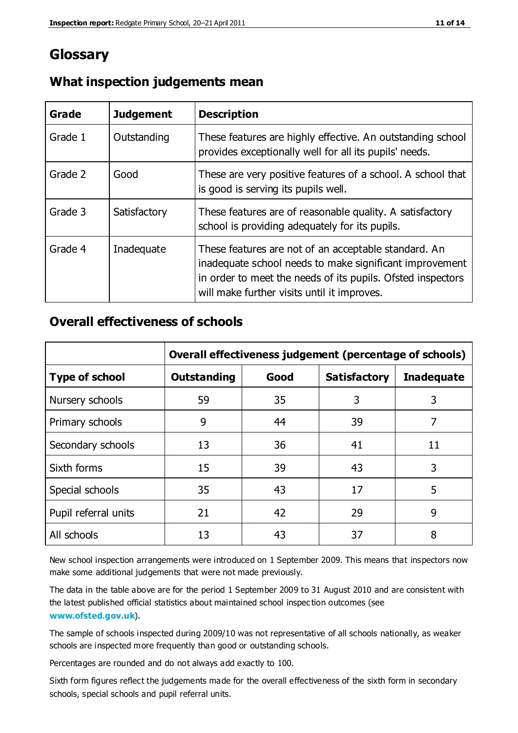## **Glossary**

| Grade   | <b>Judgement</b> | <b>Description</b>                                                                                                                                                                                                            |
|---------|------------------|-------------------------------------------------------------------------------------------------------------------------------------------------------------------------------------------------------------------------------|
| Grade 1 | Outstanding      | These features are highly effective. An outstanding school<br>provides exceptionally well for all its pupils' needs.                                                                                                          |
| Grade 2 | Good             | These are very positive features of a school. A school that<br>is good is serving its pupils well.                                                                                                                            |
| Grade 3 | Satisfactory     | These features are of reasonable quality. A satisfactory<br>school is providing adequately for its pupils.                                                                                                                    |
| Grade 4 | Inadequate       | These features are not of an acceptable standard. An<br>inadequate school needs to make significant improvement<br>in order to meet the needs of its pupils. Ofsted inspectors<br>will make further visits until it improves. |

#### **What inspection judgements mean**

#### **Overall effectiveness of schools**

|                       | Overall effectiveness judgement (percentage of schools) |      |                     |                   |
|-----------------------|---------------------------------------------------------|------|---------------------|-------------------|
| <b>Type of school</b> | <b>Outstanding</b>                                      | Good | <b>Satisfactory</b> | <b>Inadequate</b> |
| Nursery schools       | 59                                                      | 35   | 3                   | 3                 |
| Primary schools       | 9                                                       | 44   | 39                  | 7                 |
| Secondary schools     | 13                                                      | 36   | 41                  | 11                |
| Sixth forms           | 15                                                      | 39   | 43                  | 3                 |
| Special schools       | 35                                                      | 43   | 17                  | 5                 |
| Pupil referral units  | 21                                                      | 42   | 29                  | 9                 |
| All schools           | 13                                                      | 43   | 37                  | 8                 |

New school inspection arrangements were introduced on 1 September 2009. This means that inspectors now make some additional judgements that were not made previously.

The data in the table above are for the period 1 September 2009 to 31 August 2010 and are consistent with the latest published official statistics about maintained school inspec tion outcomes (see **[www.ofsted.gov.uk](http://www.ofsted.gov.uk/)**).

The sample of schools inspected during 2009/10 was not representative of all schools nationally, as weaker schools are inspected more frequently than good or outstanding schools.

Percentages are rounded and do not always add exactly to 100.

Sixth form figures reflect the judgements made for the overall effectiveness of the sixth form in secondary schools, special schools and pupil referral units.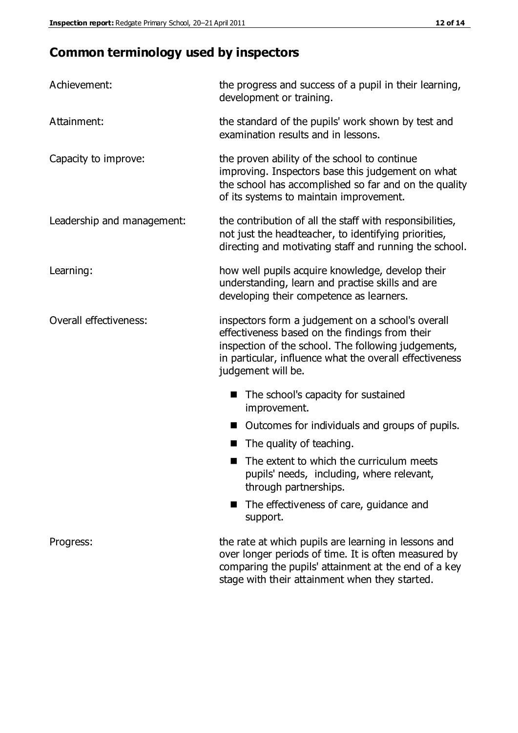# **Common terminology used by inspectors**

| Achievement:                  | the progress and success of a pupil in their learning,<br>development or training.                                                                                                                                                          |  |  |
|-------------------------------|---------------------------------------------------------------------------------------------------------------------------------------------------------------------------------------------------------------------------------------------|--|--|
| Attainment:                   | the standard of the pupils' work shown by test and<br>examination results and in lessons.                                                                                                                                                   |  |  |
| Capacity to improve:          | the proven ability of the school to continue<br>improving. Inspectors base this judgement on what<br>the school has accomplished so far and on the quality<br>of its systems to maintain improvement.                                       |  |  |
| Leadership and management:    | the contribution of all the staff with responsibilities,<br>not just the headteacher, to identifying priorities,<br>directing and motivating staff and running the school.                                                                  |  |  |
| Learning:                     | how well pupils acquire knowledge, develop their<br>understanding, learn and practise skills and are<br>developing their competence as learners.                                                                                            |  |  |
| <b>Overall effectiveness:</b> | inspectors form a judgement on a school's overall<br>effectiveness based on the findings from their<br>inspection of the school. The following judgements,<br>in particular, influence what the overall effectiveness<br>judgement will be. |  |  |
|                               | The school's capacity for sustained<br>improvement.                                                                                                                                                                                         |  |  |
|                               | Outcomes for individuals and groups of pupils.                                                                                                                                                                                              |  |  |
|                               | The quality of teaching.                                                                                                                                                                                                                    |  |  |
|                               | The extent to which the curriculum meets<br>pupils' needs, including, where relevant,<br>through partnerships.                                                                                                                              |  |  |
|                               | The effectiveness of care, guidance and<br>support.                                                                                                                                                                                         |  |  |
| Progress:                     | the rate at which pupils are learning in lessons and<br>over longer periods of time. It is often measured by<br>comparing the pupils' attainment at the end of a key                                                                        |  |  |

stage with their attainment when they started.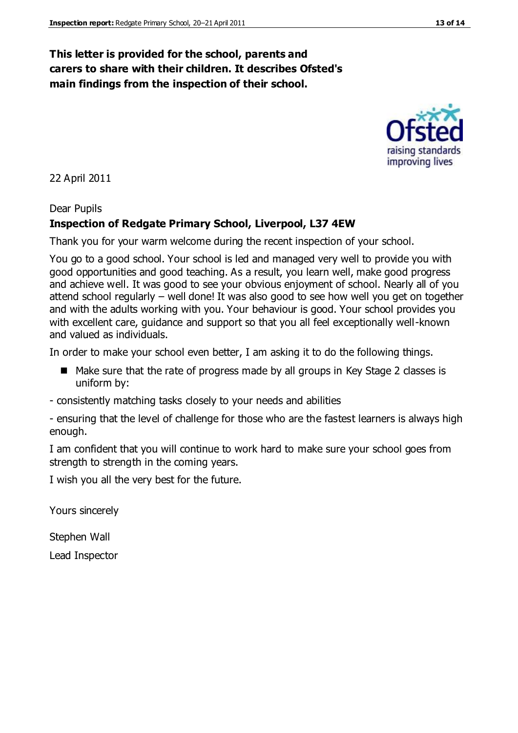## **This letter is provided for the school, parents and carers to share with their children. It describes Ofsted's main findings from the inspection of their school.**

22 April 2011

#### Dear Pupils

#### **Inspection of Redgate Primary School, Liverpool, L37 4EW**

Thank you for your warm welcome during the recent inspection of your school.

You go to a good school. Your school is led and managed very well to provide you with good opportunities and good teaching. As a result, you learn well, make good progress and achieve well. It was good to see your obvious enjoyment of school. Nearly all of you attend school regularly – well done! It was also good to see how well you get on together and with the adults working with you. Your behaviour is good. Your school provides you with excellent care, guidance and support so that you all feel exceptionally well-known and valued as individuals.

In order to make your school even better, I am asking it to do the following things.

- Make sure that the rate of progress made by all groups in Key Stage 2 classes is uniform by:
- consistently matching tasks closely to your needs and abilities

- ensuring that the level of challenge for those who are the fastest learners is always high enough.

I am confident that you will continue to work hard to make sure your school goes from strength to strength in the coming years.

I wish you all the very best for the future.

Yours sincerely

Stephen Wall

Lead Inspector